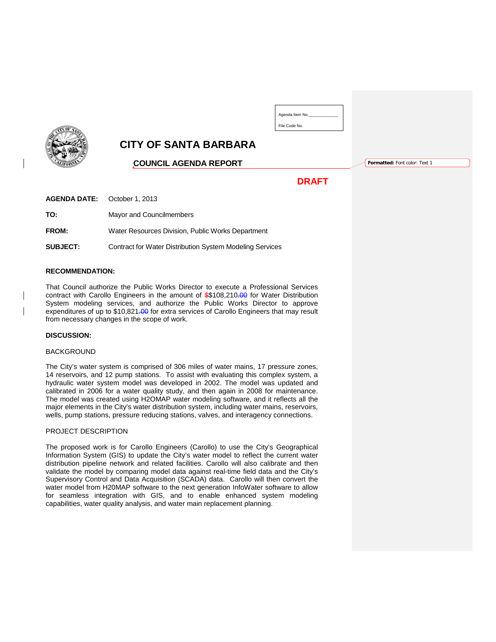| <b>UIFOR</b> |
|--------------|

# **CITY OF SANTA BARBARA**

## **COUNCIL AGENDA REPORT**

**Formatted:** Font color: Text 1

# **DRAFT**

Agenda Item No.\_\_\_\_\_\_\_\_\_\_\_\_\_ File Code No.

**AGENDA DATE:** October 1, 2013

**TO:** Mayor and Councilmembers

**FROM:** Water Resources Division, Public Works Department

**SUBJECT:** Contract for Water Distribution System Modeling Services

#### **RECOMMENDATION:**

That Council authorize the Public Works Director to execute a Professional Services contract with Carollo Engineers in the amount of \$\$108,210.00 for Water Distribution System modeling services, and authorize the Public Works Director to approve expenditures of up to \$10,821.00 for extra services of Carollo Engineers that may result from necessary changes in the scope of work.

#### **DISCUSSION:**

#### **BACKGROUND**

The City's water system is comprised of 306 miles of water mains, 17 pressure zones, 14 reservoirs, and 12 pump stations. To assist with evaluating this complex system, a hydraulic water system model was developed in 2002. The model was updated and calibrated in 2006 for a water quality study, and then again in 2008 for maintenance. The model was created using H2OMAP water modeling software, and it reflects all the major elements in the City's water distribution system, including water mains, reservoirs, wells, pump stations, pressure reducing stations, valves, and interagency connections.

#### PROJECT DESCRIPTION

The proposed work is for Carollo Engineers (Carollo) to use the City's Geographical Information System (GIS) to update the City's water model to reflect the current water distribution pipeline network and related facilities. Carollo will also calibrate and then validate the model by comparing model data against real-time field data and the City's Supervisory Control and Data Acquisition (SCADA) data. Carollo will then convert the water model from H20MAP software to the next generation InfoWater software to allow for seamless integration with GIS, and to enable enhanced system modeling capabilities, water quality analysis, and water main replacement planning.